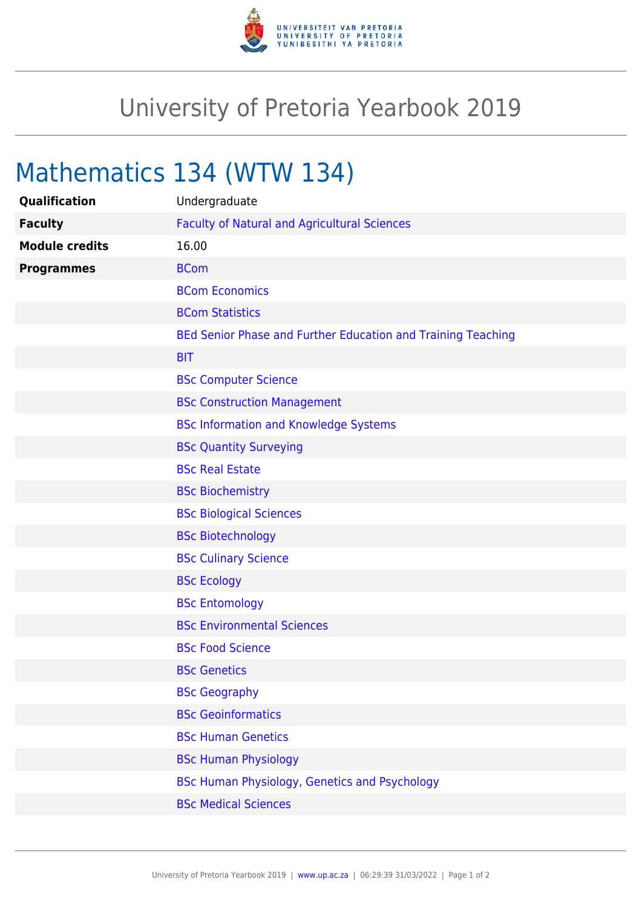

## University of Pretoria Yearbook 2019

## Mathematics 134 (WTW 134)

| Qualification         | Undergraduate                                                |
|-----------------------|--------------------------------------------------------------|
| <b>Faculty</b>        | <b>Faculty of Natural and Agricultural Sciences</b>          |
| <b>Module credits</b> | 16.00                                                        |
| <b>Programmes</b>     | <b>BCom</b>                                                  |
|                       | <b>BCom Economics</b>                                        |
|                       | <b>BCom Statistics</b>                                       |
|                       | BEd Senior Phase and Further Education and Training Teaching |
|                       | <b>BIT</b>                                                   |
|                       | <b>BSc Computer Science</b>                                  |
|                       | <b>BSc Construction Management</b>                           |
|                       | <b>BSc Information and Knowledge Systems</b>                 |
|                       | <b>BSc Quantity Surveying</b>                                |
|                       | <b>BSc Real Estate</b>                                       |
|                       | <b>BSc Biochemistry</b>                                      |
|                       | <b>BSc Biological Sciences</b>                               |
|                       | <b>BSc Biotechnology</b>                                     |
|                       | <b>BSc Culinary Science</b>                                  |
|                       | <b>BSc Ecology</b>                                           |
|                       | <b>BSc Entomology</b>                                        |
|                       | <b>BSc Environmental Sciences</b>                            |
|                       | <b>BSc Food Science</b>                                      |
|                       | <b>BSc Genetics</b>                                          |
|                       | <b>BSc Geography</b>                                         |
|                       | <b>BSc Geoinformatics</b>                                    |
|                       | <b>BSc Human Genetics</b>                                    |
|                       | <b>BSc Human Physiology</b>                                  |
|                       | BSc Human Physiology, Genetics and Psychology                |
|                       | <b>BSc Medical Sciences</b>                                  |
|                       |                                                              |